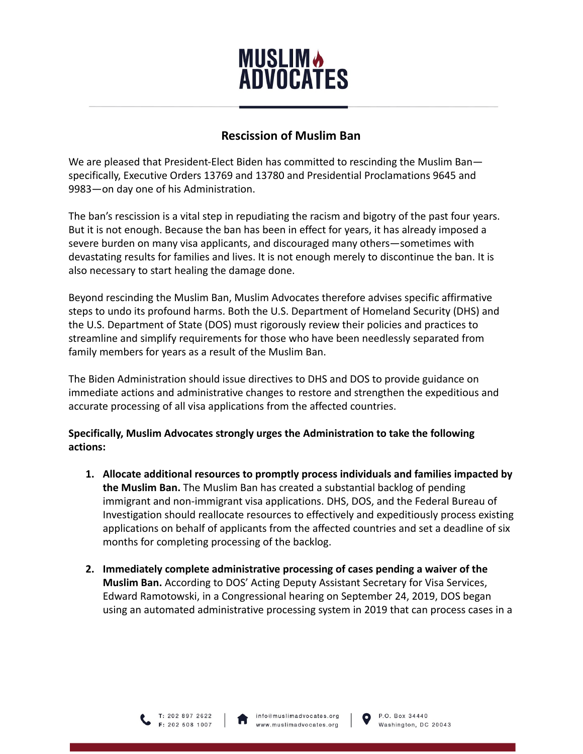

## **Rescission of Muslim Ban**

We are pleased that President-Elect Biden has committed to rescinding the Muslim Ban specifically, Executive Orders 13769 and 13780 and Presidential Proclamations 9645 and 9983—on day one of his Administration.

The ban's rescission is a vital step in repudiating the racism and bigotry of the past four years. But it is not enough. Because the ban has been in effect for years, it has already imposed a severe burden on many visa applicants, and discouraged many others—sometimes with devastating results for families and lives. It is not enough merely to discontinue the ban. It is also necessary to start healing the damage done.

Beyond rescinding the Muslim Ban, Muslim Advocates therefore advises specific affirmative steps to undo its profound harms. Both the U.S. Department of Homeland Security (DHS) and the U.S. Department of State (DOS) must rigorously review their policies and practices to streamline and simplify requirements for those who have been needlessly separated from family members for years as a result of the Muslim Ban.

The Biden Administration should issue directives to DHS and DOS to provide guidance on immediate actions and administrative changes to restore and strengthen the expeditious and accurate processing of all visa applications from the affected countries.

## **Specifically, Muslim Advocates strongly urges the Administration to take the following actions:**

- **1. Allocate additional resources to promptly process individuals and families impacted by the Muslim Ban.** The Muslim Ban has created a substantial backlog of pending immigrant and non-immigrant visa applications. DHS, DOS, and the Federal Bureau of Investigation should reallocate resources to effectively and expeditiously process existing applications on behalf of applicants from the affected countries and set a deadline of six months for completing processing of the backlog.
- **2. Immediately complete administrative processing of cases pending a waiver of the Muslim Ban.** According to DOS' Acting Deputy Assistant Secretary for Visa Services, Edward Ramotowski, in a Congressional hearing on September 24, 2019, DOS began using an automated administrative processing system in 2019 that can process cases in a

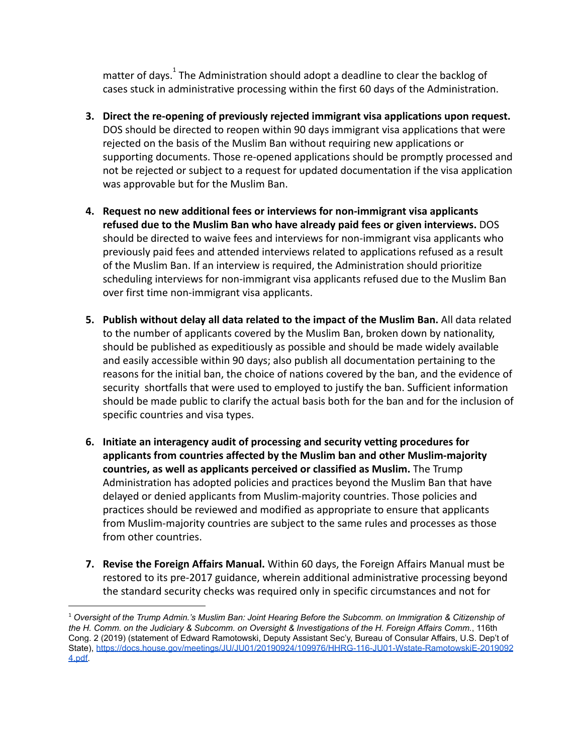matter of days. $1$  The Administration should adopt a deadline to clear the backlog of cases stuck in administrative processing within the first 60 days of the Administration.

- **3. Direct the re-opening of previously rejected immigrant visa applications upon request.**  DOS should be directed to reopen within 90 days immigrant visa applications that were rejected on the basis of the Muslim Ban without requiring new applications or supporting documents. Those re-opened applications should be promptly processed and not be rejected or subject to a request for updated documentation if the visa application was approvable but for the Muslim Ban.
- **4. Request no new additional fees or interviews for non-immigrant visa applicants refused due to the Muslim Ban who have already paid fees or given interviews.** DOS should be directed to waive fees and interviews for non-immigrant visa applicants who previously paid fees and attended interviews related to applications refused as a result of the Muslim Ban. If an interview is required, the Administration should prioritize scheduling interviews for non-immigrant visa applicants refused due to the Muslim Ban over first time non-immigrant visa applicants.
- **5. Publish without delay all data related to the impact of the Muslim Ban.** All data related to the number of applicants covered by the Muslim Ban, broken down by nationality, should be published as expeditiously as possible and should be made widely available and easily accessible within 90 days; also publish all documentation pertaining to the reasons for the initial ban, the choice of nations covered by the ban, and the evidence of security shortfalls that were used to employed to justify the ban. Sufficient information should be made public to clarify the actual basis both for the ban and for the inclusion of specific countries and visa types.
- **6. Initiate an interagency audit of processing and security vetting procedures for applicants from countries affected by the Muslim ban and other Muslim-majority countries, as well as applicants perceived or classified as Muslim.** The Trump Administration has adopted policies and practices beyond the Muslim Ban that have delayed or denied applicants from Muslim-majority countries. Those policies and practices should be reviewed and modified as appropriate to ensure that applicants from Muslim-majority countries are subject to the same rules and processes as those from other countries.
- **7. Revise the Foreign Affairs Manual.** Within 60 days, the Foreign Affairs Manual must be restored to its pre-2017 guidance, wherein additional administrative processing beyond the standard security checks was required only in specific circumstances and not for

<sup>1</sup> *Oversight of the Trump Admin.'s Muslim Ban: Joint Hearing Before the Subcomm. on Immigration & Citizenship of the H. Comm. on the Judiciary & Subcomm. on Oversight & Investigations of the H. Foreign Affairs Comm.* , 116th Cong. 2 (2019) (statement of Edward Ramotowski, Deputy Assistant Sec'y, Bureau of Consular Affairs, U.S. Dep't of State), [https://docs.house.gov/meetings/JU/JU01/20190924/109976/HHRG-116-JU01-Wstate-RamotowskiE-2019092](https://docs.house.gov/meetings/JU/JU01/20190924/109976/HHRG-116-JU01-Wstate-RamotowskiE-20190924.pdf) 4.pdf.